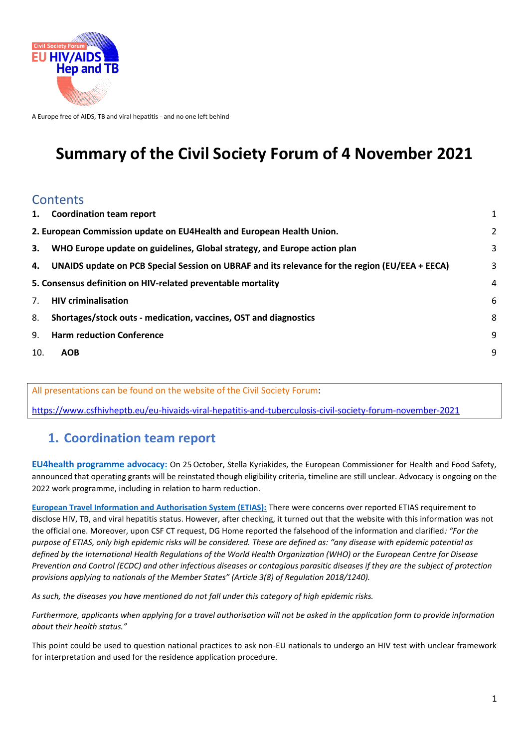

A Europe free of AIDS, TB and viral hepatitis - and no one left behind

# **Summary of the Civil Society Forum of 4 November 2021**

### **Contents**

| 1.                                                           | <b>Coordination team report</b>                                                                | $\mathbf{1}$ |  |  |  |
|--------------------------------------------------------------|------------------------------------------------------------------------------------------------|--------------|--|--|--|
|                                                              | 2. European Commission update on EU4Health and European Health Union.                          |              |  |  |  |
| 3.                                                           | WHO Europe update on guidelines, Global strategy, and Europe action plan                       | 3            |  |  |  |
| 4.                                                           | UNAIDS update on PCB Special Session on UBRAF and its relevance for the region (EU/EEA + EECA) | 3            |  |  |  |
| 5. Consensus definition on HIV-related preventable mortality |                                                                                                |              |  |  |  |
| 7.                                                           | <b>HIV criminalisation</b>                                                                     | 6            |  |  |  |
| 8.                                                           | Shortages/stock outs - medication, vaccines, OST and diagnostics                               | 8            |  |  |  |
| 9.                                                           | <b>Harm reduction Conference</b>                                                               | 9            |  |  |  |
| 10.                                                          | <b>AOB</b>                                                                                     | 9            |  |  |  |
|                                                              |                                                                                                |              |  |  |  |

All presentations can be found on the website of the Civil Society Forum:

<https://www.csfhivheptb.eu/eu-hivaids-viral-hepatitis-and-tuberculosis-civil-society-forum-november-2021>

### <span id="page-0-0"></span>**1. Coordination team report**

**EU4health programme advocacy:** On 25 October, Stella Kyriakides, the European Commissioner for Health and Food Safety, announced that operating grants will be reinstated though eligibility criteria, timeline are still unclear. Advocacy is ongoing on the 2022 work programme, including in relation to harm reduction.

**[European Travel Information and Authorisation System \(ETIAS\):](https://ec.europa.eu/home-affairs/policies/schengen-borders-and-visa/smart-borders/european-travel-information-authorisation-system_en)** There were concerns over reported ETIAS requirement to disclose HIV, TB, and viral hepatitis status. However, after checking, it turned out that the website with this information was not the official one. Moreover, upon CSF CT request, DG Home reported the falsehood of the information and clarified*: "For the purpose of ETIAS, only high epidemic risks will be considered. These are defined as: "any disease with epidemic potential as defined by the International Health Regulations of the World Health Organization (WHO) or the European Centre for Disease Prevention and Control (ECDC) and other infectious diseases or contagious parasitic diseases if they are the subject of protection provisions applying to nationals of the Member States" (Article 3(8) of Regulation 2018/1240).* 

*As such, the diseases you have mentioned do not fall under this category of high epidemic risks.*

*Furthermore, applicants when applying for a travel authorisation will not be asked in the application form to provide information about their health status."*

This point could be used to question national practices to ask non-EU nationals to undergo an HIV test with unclear framework for interpretation and used for the residence application procedure.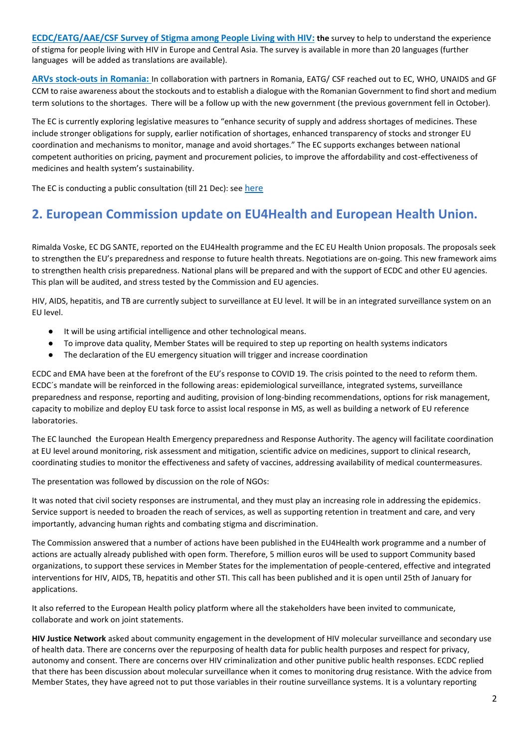**[ECDC/EATG/AAE/CSF Survey of Stigma among People Living with HIV:](https://ec.europa.eu/eusurvey/runner/communitystigmasurvey) the** survey to help to understand the experience of stigma for people living with HIV in Europe and Central Asia. The survey is available in more than 20 languages (further languages will be added as translations are available).

**ARVs stock-outs in Romania:** In collaboration with partners in Romania, EATG/ CSF reached out to EC, WHO, UNAIDS and GF CCM to raise awareness about the stockouts and to establish a dialogue with the Romanian Government to find short and medium term solutions to the shortages. There will be a follow up with the new government (the previous government fell in October).

The EC is currently exploring legislative measures to "enhance security of supply and address shortages of medicines. These include stronger obligations for supply, earlier notification of shortages, enhanced transparency of stocks and stronger EU coordination and mechanisms to monitor, manage and avoid shortages." The EC supports exchanges between national competent authorities on pricing, payment and procurement policies, to improve the affordability and cost-effectiveness of medicines and health system's sustainability.

The EC is conducting a public consultation (till 21 Dec): see [here](https://ec.europa.eu/info/law/better-regulation/have-your-say/initiatives/12963-Revision-of-the-EU-general-pharmaceuticals-legislation_en)

## <span id="page-1-0"></span>**2. European Commission update on EU4Health and European Health Union.**

Rimalda Voske, EC DG SANTE, reported on the EU4Health programme and the EC EU Health Union proposals. The proposals seek to strengthen the EU's preparedness and response to future health threats. Negotiations are on-going. This new framework aims to strengthen health crisis preparedness. National plans will be prepared and with the support of ECDC and other EU agencies. This plan will be audited, and stress tested by the Commission and EU agencies.

HIV, AIDS, hepatitis, and TB are currently subject to surveillance at EU level. It will be in an integrated surveillance system on an EU level.

- It will be using artificial intelligence and other technological means.
- To improve data quality, Member States will be required to step up reporting on health systems indicators
- The declaration of the EU emergency situation will trigger and increase coordination

ECDC and EMA have been at the forefront of the EU's response to COVID 19. The crisis pointed to the need to reform them. ECDC´s mandate will be reinforced in the following areas: epidemiological surveillance, integrated systems, surveillance preparedness and response, reporting and auditing, provision of long-binding recommendations, options for risk management, capacity to mobilize and deploy EU task force to assist local response in MS, as well as building a network of EU reference laboratories.

The EC launche[d the European Health Emergency preparedness and Response Authority.](https://ec.europa.eu/health/sites/default/files/preparedness_response/docs/hera_2021_comm_en.pdf) The agency will facilitate coordination at EU level around monitoring, risk assessment and mitigation, scientific advice on medicines, support to clinical research, coordinating studies to monitor the effectiveness and safety of vaccines, addressing availability of medical countermeasures.

The presentation was followed by discussion on the role of NGOs:

It was noted that civil society responses are instrumental, and they must play an increasing role in addressing the epidemics. Service support is needed to broaden the reach of services, as well as supporting retention in treatment and care, and very importantly, advancing human rights and combating stigma and discrimination.

The Commission answered that a number of actions have been published in the EU4Health work programme and a number of actions are actually already published with open form. Therefore, 5 million euros will be used to support Community based organizations, to support these services in Member States for the implementation of people-centered, effective and integrated interventions for HIV, AIDS, TB, hepatitis and other STI. This call has been published and it is open until 25th of January for applications.

It also referred to the European Health policy platform where all the stakeholders have been invited to communicate, collaborate and work on joint statements.

**HIV Justice Network** asked about community engagement in the development of HIV molecular surveillance and secondary use of health data. There are concerns over the repurposing of health data for public health purposes and respect for privacy, autonomy and consent. There are concerns over HIV criminalization and other punitive public health responses. ECDC replied that there has been discussion about molecular surveillance when it comes to monitoring drug resistance. With the advice from Member States, they have agreed not to put those variables in their routine surveillance systems. It is a voluntary reporting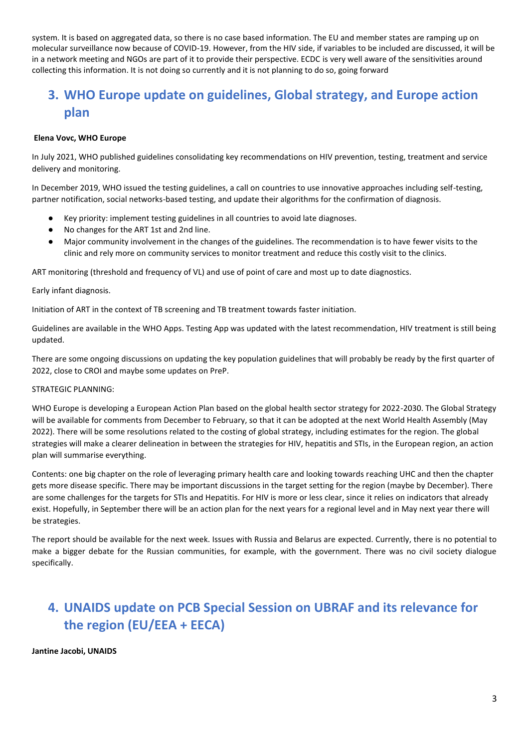system. It is based on aggregated data, so there is no case based information. The EU and member states are ramping up on molecular surveillance now because of COVID-19. However, from the HIV side, if variables to be included are discussed, it will be in a network meeting and NGOs are part of it to provide their perspective. ECDC is very well aware of the sensitivities around collecting this information. It is not doing so currently and it is not planning to do so, going forward

# <span id="page-2-0"></span>**3. WHO Europe update on guidelines, Global strategy, and Europe action plan**

#### **Elena Vovc, WHO Europe**

In July 2021, WHO published guidelines consolidating key recommendations on HIV prevention, testing, treatment and service delivery and monitoring.

In December 2019, WHO issued the testing guidelines, a call on countries to use innovative approaches including self-testing, partner notification, social networks-based testing, and update their algorithms for the confirmation of diagnosis.

- Key priority: implement testing guidelines in all countries to avoid late diagnoses.
- No changes for the ART 1st and 2nd line.
- Major community involvement in the changes of the guidelines. The recommendation is to have fewer visits to the clinic and rely more on community services to monitor treatment and reduce this costly visit to the clinics.

ART monitoring (threshold and frequency of VL) and use of point of care and most up to date diagnostics.

#### Early infant diagnosis.

Initiation of ART in the context of TB screening and TB treatment towards faster initiation.

Guidelines are available in the WHO Apps. Testing App was updated with the latest recommendation, HIV treatment is still being updated.

There are some ongoing discussions on updating the key population guidelines that will probably be ready by the first quarter of 2022, close to CROI and maybe some updates on PreP.

#### STRATEGIC PLANNING:

WHO Europe is developing a European Action Plan based on the global health sector strategy for 2022-2030. The Global Strategy will be available for comments from December to February, so that it can be adopted at the next World Health Assembly (May 2022). There will be some resolutions related to the costing of global strategy, including estimates for the region. The global strategies will make a clearer delineation in between the strategies for HIV, hepatitis and STIs, in the European region, an action plan will summarise everything.

Contents: one big chapter on the role of leveraging primary health care and looking towards reaching UHC and then the chapter gets more disease specific. There may be important discussions in the target setting for the region (maybe by December). There are some challenges for the targets for STIs and Hepatitis. For HIV is more or less clear, since it relies on indicators that already exist. Hopefully, in September there will be an action plan for the next years for a regional level and in May next year there will be strategies.

The report should be available for the next week. Issues with Russia and Belarus are expected. Currently, there is no potential to make a bigger debate for the Russian communities, for example, with the government. There was no civil society dialogue specifically.

# <span id="page-2-1"></span>**4. UNAIDS update on PCB Special Session on UBRAF and its relevance for the region (EU/EEA + EECA)**

**Jantine Jacobi, UNAIDS**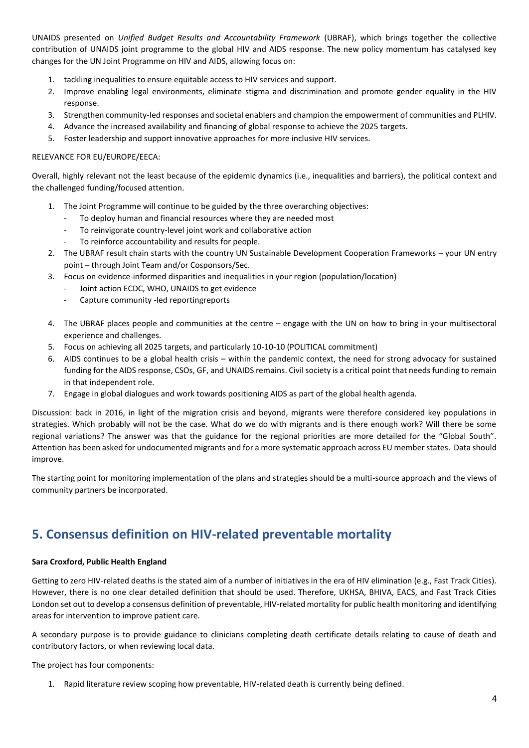UNAIDS presented on *Unified Budget Results and Accountability Framework* (UBRAF), which brings together the collective contribution of UNAIDS joint programme to the global HIV and AIDS response. The new policy momentum has catalysed key changes for the UN Joint Programme on HIV and AIDS, allowing focus on:

- 1. tackling inequalities to ensure equitable access to HIV services and support.
- 2. Improve enabling legal environments, eliminate stigma and discrimination and promote gender equality in the HIV response.
- 3. Strengthen community-led responses and societal enablers and champion the empowerment of communities and PLHIV.
- 4. Advance the increased availability and financing of global response to achieve the 2025 targets.
- 5. Foster leadership and support innovative approaches for more inclusive HIV services.

#### RELEVANCE FOR EU/EUROPE/EECA:

Overall, highly relevant not the least because of the epidemic dynamics (i.e., inequalities and barriers), the political context and the challenged funding/focused attention.

- 1. The Joint Programme will continue to be guided by the three overarching objectives:
	- To deploy human and financial resources where they are needed most
	- To reinvigorate country-level joint work and collaborative action
	- To reinforce accountability and results for people.
- 2. The UBRAF result chain starts with the country UN Sustainable Development Cooperation Frameworks your UN entry point – through Joint Team and/or Cosponsors/Sec.
- 3. Focus on evidence-informed disparities and inequalities in your region (population/location)
	- Joint action ECDC, WHO, UNAIDS to get evidence
	- Capture community -led reportingreports
- 4. The UBRAF places people and communities at the centre engage with the UN on how to bring in your multisectoral experience and challenges.
- 5. Focus on achieving all 2025 targets, and particularly 10-10-10 (POLITICAL commitment)
- 6. AIDS continues to be a global health crisis within the pandemic context, the need for strong advocacy for sustained funding for the AIDS response, CSOs, GF, and UNAIDS remains. Civil society is a critical point that needs funding to remain in that independent role.
- 7. Engage in global dialogues and work towards positioning AIDS as part of the global health agenda.

Discussion: back in 2016, in light of the migration crisis and beyond, migrants were therefore considered key populations in strategies. Which probably will not be the case. What do we do with migrants and is there enough work? Will there be some regional variations? The answer was that the guidance for the regional priorities are more detailed for the "Global South". Attention has been asked for undocumented migrants and for a more systematic approach across EU member states. Data should improve.

The starting point for monitoring implementation of the plans and strategies should be a multi-source approach and the views of community partners be incorporated.

### <span id="page-3-0"></span>**5. Consensus definition on HIV-related preventable mortality**

#### **Sara Croxford, Public Health England**

Getting to zero HIV-related deaths is the stated aim of a number of initiatives in the era of HIV elimination (e.g., Fast Track Cities). However, there is no one clear detailed definition that should be used. Therefore, UKHSA, BHIVA, EACS, and Fast Track Cities London set out to develop a consensus definition of preventable, HIV-related mortality for public health monitoring and identifying areas for intervention to improve patient care.

A secondary purpose is to provide guidance to clinicians completing death certificate details relating to cause of death and contributory factors, or when reviewing local data.

The project has four components:

1. Rapid literature review scoping how preventable, HIV-related death is currently being defined.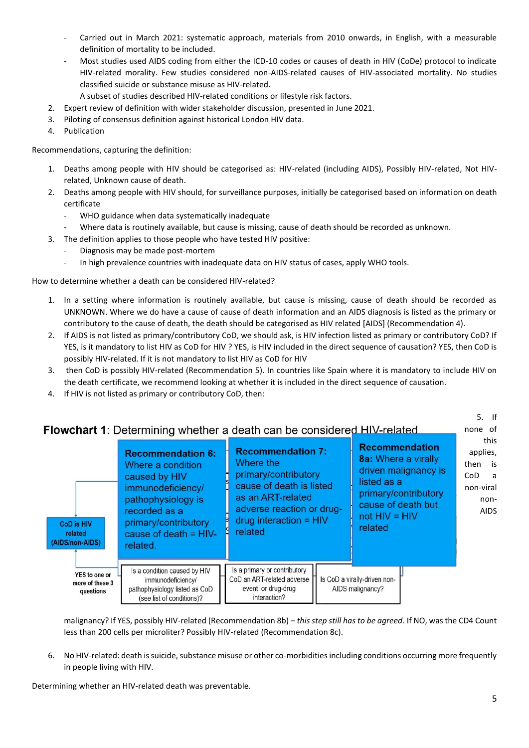- Carried out in March 2021: systematic approach, materials from 2010 onwards, in English, with a measurable definition of mortality to be included.
- Most studies used AIDS coding from either the ICD-10 codes or causes of death in HIV (CoDe) protocol to indicate HIV-related morality. Few studies considered non-AIDS-related causes of HIV-associated mortality. No studies classified suicide or substance misuse as HIV-related.
- A subset of studies described HIV-related conditions or lifestyle risk factors.
- 2. Expert review of definition with wider stakeholder discussion, presented in June 2021.
- 3. Piloting of consensus definition against historical London HIV data.
- 4. Publication

Recommendations, capturing the definition:

- 1. Deaths among people with HIV should be categorised as: HIV-related (including AIDS), Possibly HIV-related, Not HIVrelated, Unknown cause of death.
- 2. Deaths among people with HIV should, for surveillance purposes, initially be categorised based on information on death certificate
	- WHO guidance when data systematically inadequate
	- Where data is routinely available, but cause is missing, cause of death should be recorded as unknown.
- 3. The definition applies to those people who have tested HIV positive:
	- Diagnosis may be made post-mortem
	- In high prevalence countries with inadequate data on HIV status of cases, apply WHO tools.

How to determine whether a death can be considered HIV-related?

- 1. In a setting where information is routinely available, but cause is missing, cause of death should be recorded as UNKNOWN. Where we do have a cause of cause of death information and an AIDS diagnosis is listed as the primary or contributory to the cause of death, the death should be categorised as HIV related [AIDS] (Recommendation 4).
- 2. If AIDS is not listed as primary/contributory CoD, we should ask, is HIV infection listed as primary or contributory CoD? If YES, is it mandatory to list HIV as CoD for HIV ? YES, is HIV included in the direct sequence of causation? YES, then CoD is possibly HIV-related. If it is not mandatory to list HIV as CoD for HIV
- 3. then CoD is possibly HIV-related (Recommendation 5). In countries like Spain where it is mandatory to include HIV on the death certificate, we recommend looking at whether it is included in the direct sequence of causation.
- 4. If HIV is not listed as primary or contributory CoD, then:

| <b>CoD is HIV</b><br>related<br>(AIDS/non-AIDS) | <b>Recommendation 6:</b><br>Where a condition<br>caused by HIV<br>immunodeficiency/<br>pathophysiology is<br>recorded as a<br>primary/contributory<br>cause of death $=$ HIV-<br>related. | <b>Flowchart 1:</b> Determining whether a death can be considered HIV-related<br><b>Recommendation 7:</b><br>Where the<br>primary/contributory<br>cause of death is listed<br>as an ART-related<br>adverse reaction or drug-<br>$drug$ interaction = $HIV$<br>related | <b>Recommendation</b><br>8a: Where a virally<br>driven malignancy is<br>listed as a<br>primary/contributory<br>cause of death but<br>$not HIV = HIV$<br>related | $5.$ If<br>none of<br>this<br>applies,<br>then<br>is<br>CoD.<br>a a<br>non-viral<br>non-<br><b>AIDS</b> |
|-------------------------------------------------|-------------------------------------------------------------------------------------------------------------------------------------------------------------------------------------------|-----------------------------------------------------------------------------------------------------------------------------------------------------------------------------------------------------------------------------------------------------------------------|-----------------------------------------------------------------------------------------------------------------------------------------------------------------|---------------------------------------------------------------------------------------------------------|
| YES to one or<br>more of these 3<br>questions   | Is a condition caused by HIV<br>immunodeficiency/<br>pathophysiology listed as CoD<br>(see list of conditions)?                                                                           | Is a primary or contributory<br>CoD an ART-related adverse<br>event or drug-drug<br>interaction?                                                                                                                                                                      | Is CoD a virally-driven non-<br>AIDS malignancy?                                                                                                                |                                                                                                         |

malignancy? If YES, possibly HIV-related (Recommendation 8b) – *this step still has to be agreed*. If NO, was the CD4 Count less than 200 cells per microliter? Possibly HIV-related (Recommendation 8c).

6. No HIV-related: death is suicide, substance misuse or other co-morbidities including conditions occurring more frequently in people living with HIV.

Determining whether an HIV-related death was preventable.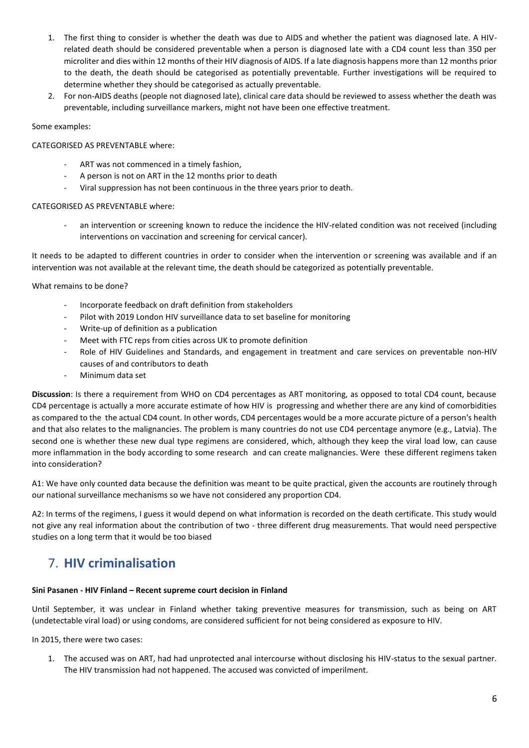- 1. The first thing to consider is whether the death was due to AIDS and whether the patient was diagnosed late. A HIVrelated death should be considered preventable when a person is diagnosed late with a CD4 count less than 350 per microliter and dies within 12 months of their HIV diagnosis of AIDS. If a late diagnosis happens more than 12 months prior to the death, the death should be categorised as potentially preventable. Further investigations will be required to determine whether they should be categorised as actually preventable.
- 2. For non-AIDS deaths (people not diagnosed late), clinical care data should be reviewed to assess whether the death was preventable, including surveillance markers, might not have been one effective treatment.

#### Some examples:

#### CATEGORISED AS PREVENTABLE where:

- ART was not commenced in a timely fashion,
- A person is not on ART in the 12 months prior to death
- Viral suppression has not been continuous in the three years prior to death.

#### CATEGORISED AS PREVENTABLE where:

an intervention or screening known to reduce the incidence the HIV-related condition was not received (including interventions on vaccination and screening for cervical cancer).

It needs to be adapted to different countries in order to consider when the intervention or screening was available and if an intervention was not available at the relevant time, the death should be categorized as potentially preventable.

What remains to be done?

- Incorporate feedback on draft definition from stakeholders
- Pilot with 2019 London HIV surveillance data to set baseline for monitoring
- Write-up of definition as a publication
- Meet with FTC reps from cities across UK to promote definition
- Role of HIV Guidelines and Standards, and engagement in treatment and care services on preventable non-HIV causes of and contributors to death
- Minimum data set

**Discussion**: Is there a requirement from WHO on CD4 percentages as ART monitoring, as opposed to total CD4 count, because CD4 percentage is actually a more accurate estimate of how HIV is progressing and whether there are any kind of comorbidities as compared to the the actual CD4 count. In other words, CD4 percentages would be a more accurate picture of a person's health and that also relates to the malignancies. The problem is many countries do not use CD4 percentage anymore (e.g., Latvia). The second one is whether these new dual type regimens are considered, which, although they keep the viral load low, can cause more inflammation in the body according to some research and can create malignancies. Were these different regimens taken into consideration?

A1: We have only counted data because the definition was meant to be quite practical, given the accounts are routinely through our national surveillance mechanisms so we have not considered any proportion CD4.

A2: In terms of the regimens, I guess it would depend on what information is recorded on the death certificate. This study would not give any real information about the contribution of two - three different drug measurements. That would need perspective studies on a long term that it would be too biased

### <span id="page-5-0"></span>7. **HIV criminalisation**

#### **Sini Pasanen - HIV Finland – Recent supreme court decision in Finland**

Until September, it was unclear in Finland whether taking preventive measures for transmission, such as being on ART (undetectable viral load) or using condoms, are considered sufficient for not being considered as exposure to HIV.

In 2015, there were two cases:

1. The accused was on ART, had had unprotected anal intercourse without disclosing his HIV-status to the sexual partner. The HIV transmission had not happened. The accused was convicted of imperilment.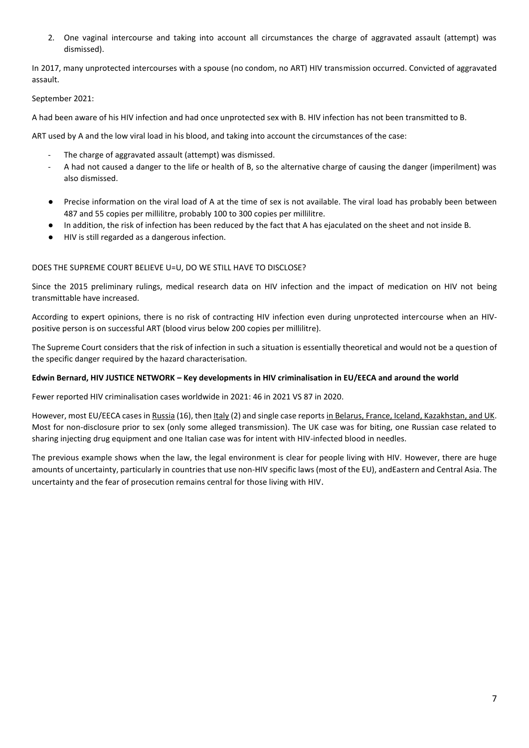2. One vaginal intercourse and taking into account all circumstances the charge of aggravated assault (attempt) was dismissed).

In 2017, many unprotected intercourses with a spouse (no condom, no ART) HIV transmission occurred. Convicted of aggravated assault.

#### September 2021:

A had been aware of his HIV infection and had once unprotected sex with B. HIV infection has not been transmitted to B.

ART used by A and the low viral load in his blood, and taking into account the circumstances of the case:

- The charge of aggravated assault (attempt) was dismissed.
- A had not caused a danger to the life or health of B, so the alternative charge of causing the danger (imperilment) was also dismissed.
- Precise information on the viral load of A at the time of sex is not available. The viral load has probably been between 487 and 55 copies per millilitre, probably 100 to 300 copies per millilitre.
- In addition, the risk of infection has been reduced by the fact that A has ejaculated on the sheet and not inside B.
- HIV is still regarded as a dangerous infection.

#### DOES THE SUPREME COURT BELIEVE U=U, DO WE STILL HAVE TO DISCLOSE?

Since the 2015 preliminary rulings, medical research data on HIV infection and the impact of medication on HIV not being transmittable have increased.

According to expert opinions, there is no risk of contracting HIV infection even during unprotected intercourse when an HIVpositive person is on successful ART (blood virus below 200 copies per millilitre).

The Supreme Court considers that the risk of infection in such a situation is essentially theoretical and would not be a question of the specific danger required by the hazard characterisation.

#### **Edwin Bernard, HIV JUSTICE NETWORK – Key developments in HIV criminalisation in EU/EECA and around the world**

Fewer reported HIV criminalisation cases worldwide in 2021: 46 in 2021 VS 87 in 2020.

However, most EU/EECA cases in Russia (16), then Italy (2) and single case reports in Belarus, France, Iceland, Kazakhstan, and UK. Most for non-disclosure prior to sex (only some alleged transmission). The UK case was for biting, one Russian case related to sharing injecting drug equipment and one Italian case was for intent with HIV-infected blood in needles.

The previous example shows when the law, the legal environment is clear for people living with HIV. However, there are huge amounts of uncertainty, particularly in countries that use non-HIV specific laws (most of the EU), andEastern and Central Asia. The uncertainty and the fear of prosecution remains central for those living with HIV.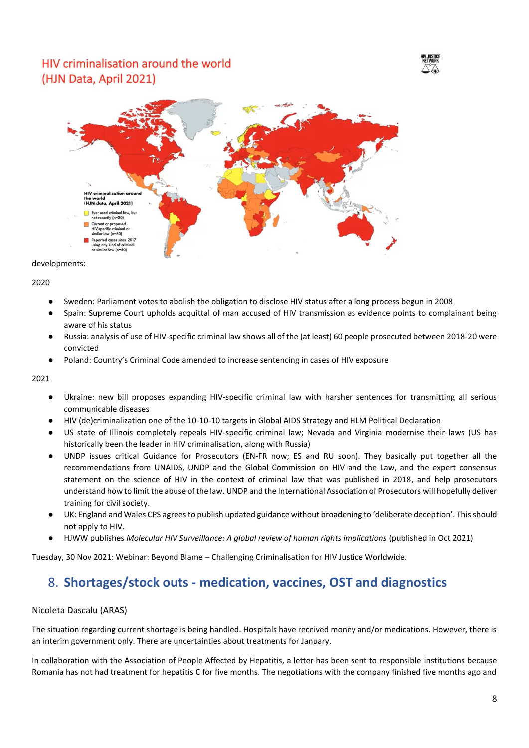### HIV criminalisation around the world (HJN Data, April 2021)





developments:

2020

- Sweden: Parliament votes to abolish the obligation to disclose HIV status after a long process begun in 2008
- Spain: Supreme Court upholds acquittal of man accused of HIV transmission as evidence points to complainant being aware of his status
- Russia: analysis of use of HIV-specific criminal law shows all of the (at least) 60 people prosecuted between 2018-20 were convicted
- Poland: Country's Criminal Code amended to increase sentencing in cases of HIV exposure

2021

- Ukraine: new bill proposes expanding HIV-specific criminal law with harsher sentences for transmitting all serious communicable diseases
- HIV (de)criminalization one of the 10-10-10 targets in Global AIDS Strategy and HLM Political Declaration
- US state of Illinois completely repeals HIV-specific criminal law; Nevada and Virginia modernise their laws (US has historically been the leader in HIV criminalisation, along with Russia)
- UNDP issues critical Guidance for Prosecutors (EN-FR now; ES and RU soon). They basically put together all the recommendations from UNAIDS, UNDP and the Global Commission on HIV and the Law, and the expert consensus statement on the science of HIV in the context of criminal law that was published in 2018, and help prosecutors understand how to limit the abuse of the law. UNDP and the International Association of Prosecutors will hopefully deliver training for civil society.
- UK: England and Wales CPS agrees to publish updated guidance without broadening to 'deliberate deception'. This should not apply to HIV.
- HJWW publishes *Molecular HIV Surveillance: A global review of human rights implications* (published in Oct 2021)

<span id="page-7-0"></span>Tuesday, 30 Nov 2021: Webinar: Beyond Blame – Challenging Criminalisation for HIV Justice Worldwide.

### 8. **Shortages/stock outs - medication, vaccines, OST and diagnostics**

#### Nicoleta Dascalu (ARAS)

The situation regarding current shortage is being handled. Hospitals have received money and/or medications. However, there is an interim government only. There are uncertainties about treatments for January.

In collaboration with the Association of People Affected by Hepatitis, a letter has been sent to responsible institutions because Romania has not had treatment for hepatitis C for five months. The negotiations with the company finished five months ago and